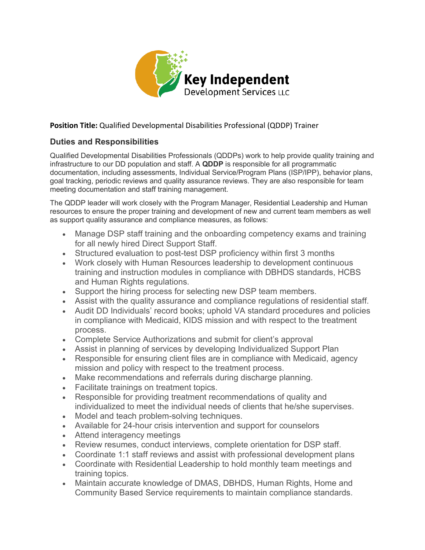

## **Position Title:** Qualified Developmental Disabilities Professional (QDDP) Trainer

## **Duties and Responsibilities**

Qualified Developmental Disabilities Professionals (QDDPs) work to help provide quality training and infrastructure to our DD population and staff. A **QDDP** is responsible for all programmatic documentation, including assessments, Individual Service/Program Plans (ISP/IPP), behavior plans, goal tracking, periodic reviews and quality assurance reviews. They are also responsible for team meeting documentation and staff training management.

The QDDP leader will work closely with the Program Manager, Residential Leadership and Human resources to ensure the proper training and development of new and current team members as well as support quality assurance and compliance measures, as follows:

- Manage DSP staff training and the onboarding competency exams and training for all newly hired Direct Support Staff.
- Structured evaluation to post-test DSP proficiency within first 3 months
- Work closely with Human Resources leadership to development continuous training and instruction modules in compliance with DBHDS standards, HCBS and Human Rights regulations.
- Support the hiring process for selecting new DSP team members.
- Assist with the quality assurance and compliance regulations of residential staff.
- Audit DD Individuals' record books; uphold VA standard procedures and policies in compliance with Medicaid, KIDS mission and with respect to the treatment process.
- Complete Service Authorizations and submit for client's approval
- Assist in planning of services by developing Individualized Support Plan
- Responsible for ensuring client files are in compliance with Medicaid, agency mission and policy with respect to the treatment process.
- Make recommendations and referrals during discharge planning.
- Facilitate trainings on treatment topics.
- Responsible for providing treatment recommendations of quality and individualized to meet the individual needs of clients that he/she supervises.
- Model and teach problem-solving techniques.
- Available for 24-hour crisis intervention and support for counselors
- Attend interagency meetings
- Review resumes, conduct interviews, complete orientation for DSP staff.
- Coordinate 1:1 staff reviews and assist with professional development plans
- Coordinate with Residential Leadership to hold monthly team meetings and training topics.
- Maintain accurate knowledge of DMAS, DBHDS, Human Rights, Home and Community Based Service requirements to maintain compliance standards.